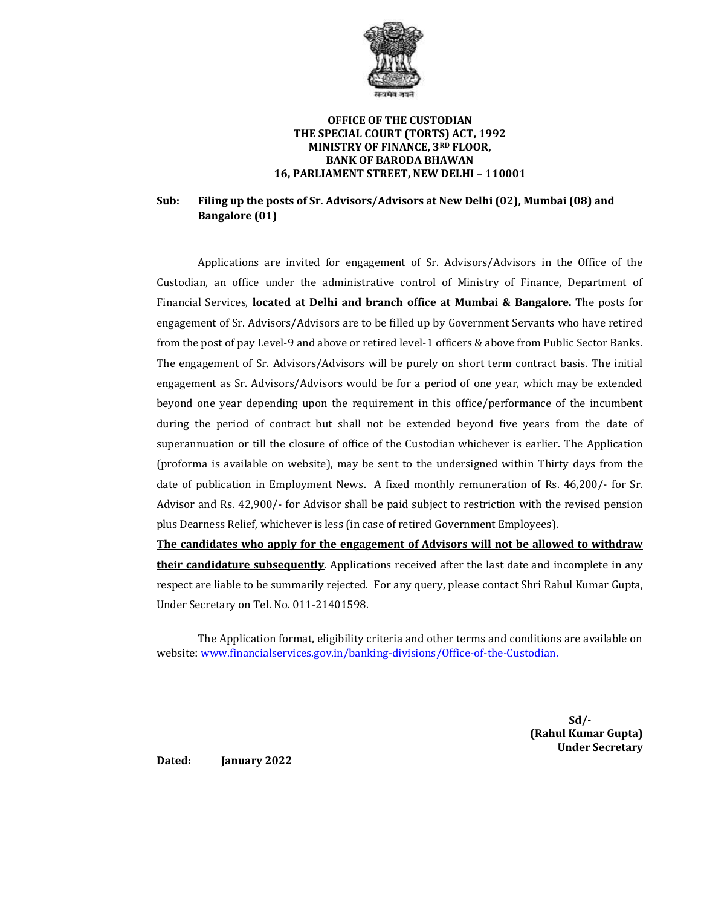

#### **OFFICE OF THE CUSTODIAN THE SPECIAL COURT (TORTS) ACT, 1992 MINISTRY OF FINANCE, 3RD FLOOR, BANK OF BARODA BHAWAN 16, PARLIAMENT STREET, NEW DELHI – 110001**

#### **Sub: Filing up the posts of Sr. Advisors/Advisors at New Delhi (02), Mumbai (08) and Bangalore (01)**

Applications are invited for engagement of Sr. Advisors/Advisors in the Office of the Custodian, an office under the administrative control of Ministry of Finance, Department of Financial Services, **located at Delhi and branch office at Mumbai & Bangalore.** The posts for engagement of Sr. Advisors/Advisors are to be filled up by Government Servants who have retired from the post of pay Level-9 and above or retired level-1 officers & above from Public Sector Banks. The engagement of Sr. Advisors/Advisors will be purely on short term contract basis. The initial engagement as Sr. Advisors/Advisors would be for a period of one year, which may be extended beyond one year depending upon the requirement in this office/performance of the incumbent during the period of contract but shall not be extended beyond five years from the date of superannuation or till the closure of office of the Custodian whichever is earlier. The Application (proforma is available on website), may be sent to the undersigned within Thirty days from the date of publication in Employment News. A fixed monthly remuneration of Rs. 46,200/- for Sr. Advisor and Rs. 42,900/- for Advisor shall be paid subject to restriction with the revised pension plus Dearness Relief, whichever is less (in case of retired Government Employees).

**The candidates who apply for the engagement of Advisors will not be allowed to withdraw their candidature subsequently**. Applications received after the last date and incomplete in any respect are liable to be summarily rejected. For any query, please contact Shri Rahul Kumar Gupta, Under Secretary on Tel. No. 011-21401598.

The Application format, eligibility criteria and other terms and conditions are available on website: [www.financialservices.gov.in/](http://www.financialservices.gov.in/)banking-divisions/Office-of-the-Custodian.

> **Sd/- (Rahul Kumar Gupta) Under Secretary**

**Dated: January 2022**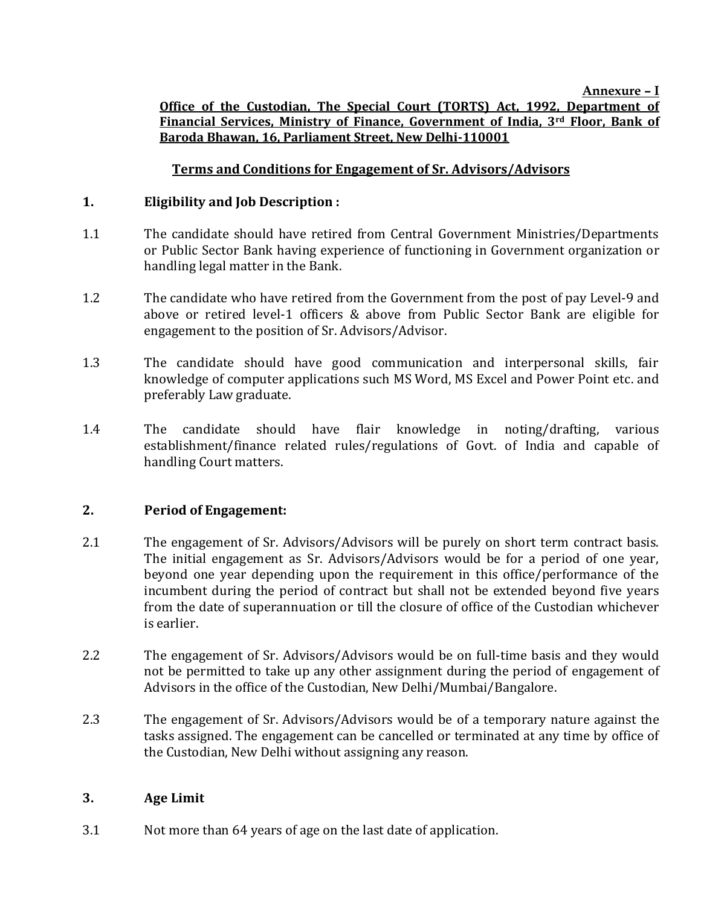### **Office of the Custodian, The Special Court (TORTS) Act, 1992, Department of Financial Services, Ministry of Finance, Government of India, 3rd Floor, Bank of Baroda Bhawan, 16, Parliament Street, New Delhi-110001**

## **Terms and Conditions for Engagement of Sr. Advisors/Advisors**

### **1. Eligibility and Job Description :**

- 1.1 The candidate should have retired from Central Government Ministries/Departments or Public Sector Bank having experience of functioning in Government organization or handling legal matter in the Bank.
- 1.2 The candidate who have retired from the Government from the post of pay Level-9 and above or retired level-1 officers & above from Public Sector Bank are eligible for engagement to the position of Sr. Advisors/Advisor.
- 1.3 The candidate should have good communication and interpersonal skills, fair knowledge of computer applications such MS Word, MS Excel and Power Point etc. and preferably Law graduate.
- 1.4 The candidate should have flair knowledge in noting/drafting, various establishment/finance related rules/regulations of Govt. of India and capable of handling Court matters.

#### **2. Period of Engagement:**

- 2.1 The engagement of Sr. Advisors/Advisors will be purely on short term contract basis. The initial engagement as Sr. Advisors/Advisors would be for a period of one year, beyond one year depending upon the requirement in this office/performance of the incumbent during the period of contract but shall not be extended beyond five years from the date of superannuation or till the closure of office of the Custodian whichever is earlier.
- 2.2 The engagement of Sr. Advisors/Advisors would be on full-time basis and they would not be permitted to take up any other assignment during the period of engagement of Advisors in the office of the Custodian, New Delhi/Mumbai/Bangalore.
- 2.3 The engagement of Sr. Advisors/Advisors would be of a temporary nature against the tasks assigned. The engagement can be cancelled or terminated at any time by office of the Custodian, New Delhi without assigning any reason.

#### **3. Age Limit**

3.1 Not more than 64 years of age on the last date of application.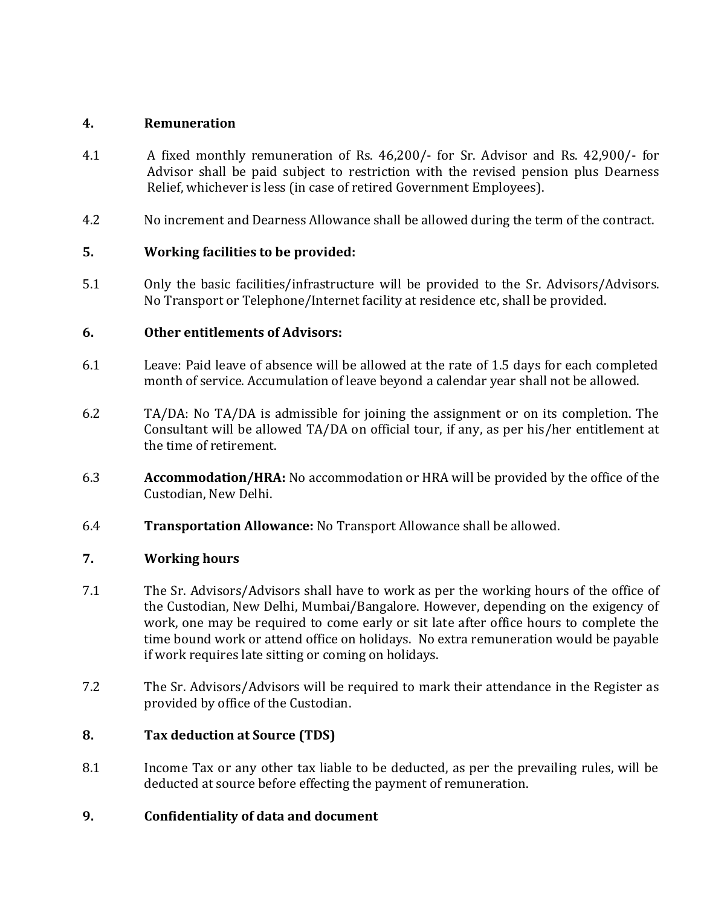#### **4. Remuneration**

- 4.1 A fixed monthly remuneration of Rs. 46,200/- for Sr. Advisor and Rs. 42,900/- for Advisor shall be paid subject to restriction with the revised pension plus Dearness Relief, whichever is less (in case of retired Government Employees).
- 4.2 No increment and Dearness Allowance shall be allowed during the term of the contract.

## **5. Working facilities to be provided:**

5.1 Only the basic facilities/infrastructure will be provided to the Sr. Advisors/Advisors. No Transport or Telephone/Internet facility at residence etc, shall be provided.

#### **6. Other entitlements of Advisors:**

- 6.1 Leave: Paid leave of absence will be allowed at the rate of 1.5 days for each completed month of service. Accumulation of leave beyond a calendar year shall not be allowed.
- 6.2 TA/DA: No TA/DA is admissible for joining the assignment or on its completion. The Consultant will be allowed TA/DA on official tour, if any, as per his/her entitlement at the time of retirement.
- 6.3 **Accommodation/HRA:** No accommodation or HRA will be provided by the office of the Custodian, New Delhi.
- 6.4 **Transportation Allowance:** No Transport Allowance shall be allowed.

#### **7. Working hours**

- 7.1 The Sr. Advisors/Advisors shall have to work as per the working hours of the office of the Custodian, New Delhi, Mumbai/Bangalore. However, depending on the exigency of work, one may be required to come early or sit late after office hours to complete the time bound work or attend office on holidays. No extra remuneration would be payable if work requires late sitting or coming on holidays.
- 7.2 The Sr. Advisors/Advisors will be required to mark their attendance in the Register as provided by office of the Custodian.

# **8. Tax deduction at Source (TDS)**

8.1 Income Tax or any other tax liable to be deducted, as per the prevailing rules, will be deducted at source before effecting the payment of remuneration.

#### **9. Confidentiality of data and document**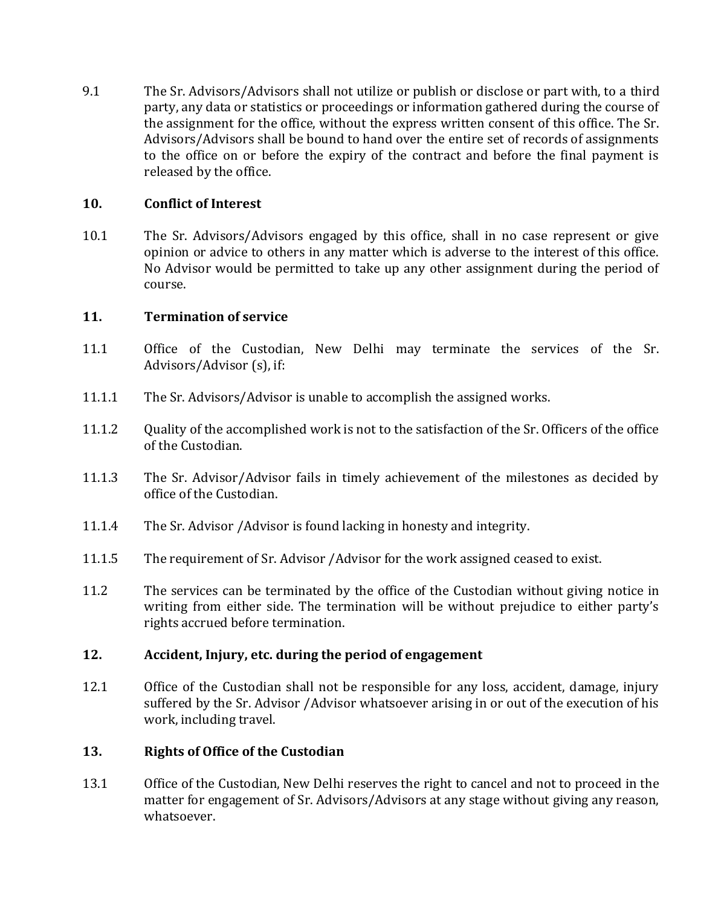9.1 The Sr. Advisors/Advisors shall not utilize or publish or disclose or part with, to a third party, any data or statistics or proceedings or information gathered during the course of the assignment for the office, without the express written consent of this office. The Sr. Advisors/Advisors shall be bound to hand over the entire set of records of assignments to the office on or before the expiry of the contract and before the final payment is released by the office.

### **10. Conflict of Interest**

10.1 The Sr. Advisors/Advisors engaged by this office, shall in no case represent or give opinion or advice to others in any matter which is adverse to the interest of this office. No Advisor would be permitted to take up any other assignment during the period of course.

## **11. Termination of service**

- 11.1 Office of the Custodian, New Delhi may terminate the services of the Sr. Advisors/Advisor (s), if:
- 11.1.1 The Sr. Advisors/Advisor is unable to accomplish the assigned works.
- 11.1.2 Quality of the accomplished work is not to the satisfaction of the Sr. Officers of the office of the Custodian.
- 11.1.3 The Sr. Advisor/Advisor fails in timely achievement of the milestones as decided by office of the Custodian.
- 11.1.4 The Sr. Advisor /Advisor is found lacking in honesty and integrity.
- 11.1.5 The requirement of Sr. Advisor /Advisor for the work assigned ceased to exist.
- 11.2 The services can be terminated by the office of the Custodian without giving notice in writing from either side. The termination will be without prejudice to either party's rights accrued before termination.

#### **12. Accident, Injury, etc. during the period of engagement**

12.1 Office of the Custodian shall not be responsible for any loss, accident, damage, injury suffered by the Sr. Advisor /Advisor whatsoever arising in or out of the execution of his work, including travel.

#### **13. Rights of Office of the Custodian**

13.1 Office of the Custodian, New Delhi reserves the right to cancel and not to proceed in the matter for engagement of Sr. Advisors/Advisors at any stage without giving any reason, whatsoever.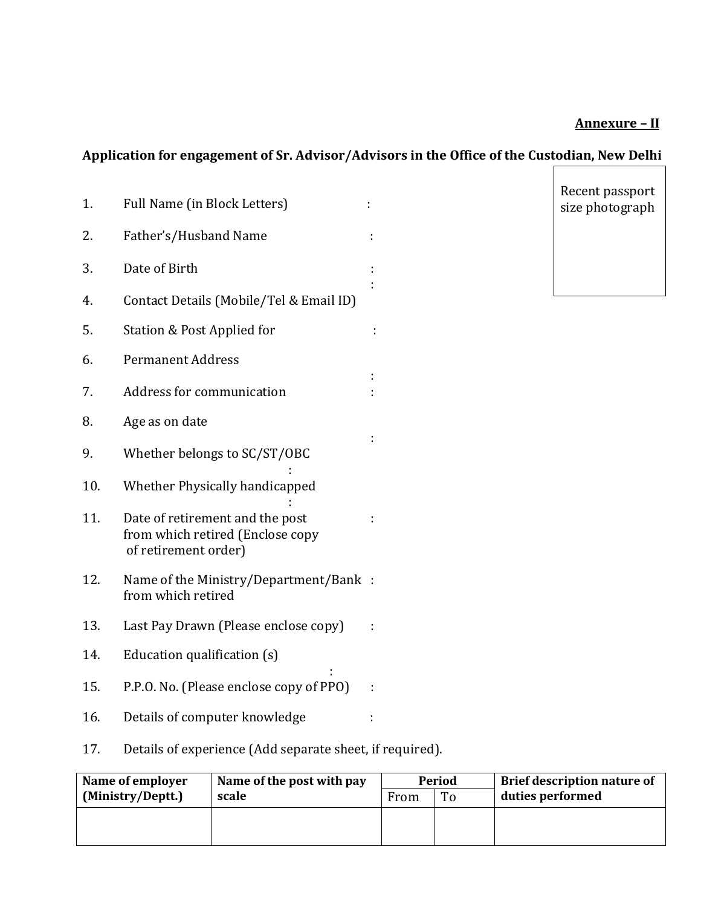# **Annexure – II**

# **Application for engagement of Sr. Advisor/Advisors in the Office of the Custodian, New Delhi**

| 1.  | Full Name (in Block Letters)                                                                |  | Recent passport<br>size photograph |  |
|-----|---------------------------------------------------------------------------------------------|--|------------------------------------|--|
| 2.  | Father's/Husband Name                                                                       |  |                                    |  |
| 3.  | Date of Birth                                                                               |  |                                    |  |
| 4.  | Contact Details (Mobile/Tel & Email ID)                                                     |  |                                    |  |
| 5.  | Station & Post Applied for                                                                  |  |                                    |  |
| 6.  | <b>Permanent Address</b>                                                                    |  |                                    |  |
| 7.  | Address for communication                                                                   |  |                                    |  |
| 8.  | Age as on date                                                                              |  |                                    |  |
| 9.  | Whether belongs to SC/ST/OBC                                                                |  |                                    |  |
| 10. | Whether Physically handicapped                                                              |  |                                    |  |
| 11. | Date of retirement and the post<br>from which retired (Enclose copy<br>of retirement order) |  |                                    |  |
| 12. | Name of the Ministry/Department/Bank :<br>from which retired                                |  |                                    |  |
| 13. | Last Pay Drawn (Please enclose copy)                                                        |  |                                    |  |
| 14. | Education qualification (s)                                                                 |  |                                    |  |
| 15. | P.P.O. No. (Please enclose copy of PPO)                                                     |  |                                    |  |
| 16. | Details of computer knowledge                                                               |  |                                    |  |
| 17. | Details of experience (Add separate sheet, if required).                                    |  |                                    |  |

| Name of employer  | Name of the post with pay | From | <b>Period</b> | <b>Brief description nature of</b> |
|-------------------|---------------------------|------|---------------|------------------------------------|
| (Ministry/Deptt.) | scale                     |      | To            | duties performed                   |
|                   |                           |      |               |                                    |